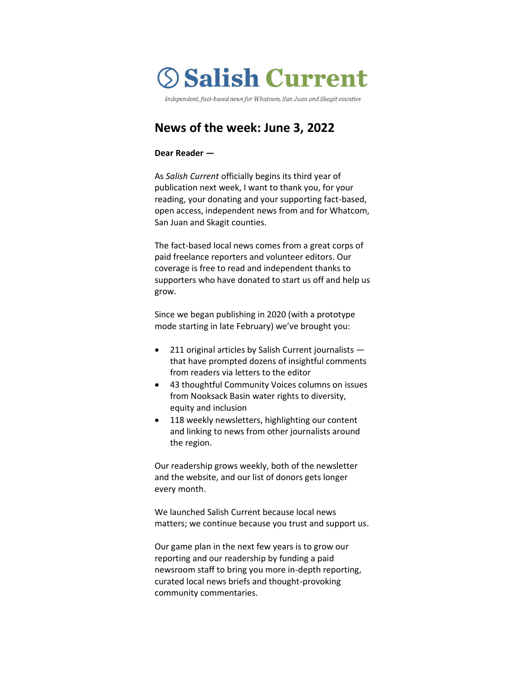# **Salish Current**

Independent, fact-based news for Whatcom, San Juan and Skagit counties

# **News of the week: June 3, 2022**

#### **Dear Reader —**

As *Salish Current* officially begins its third year of publication next week, I want to thank you, for your reading, your donating and your supporting fact-based, open access, independent news from and for Whatcom, San Juan and Skagit counties.

The fact-based local news comes from a great corps of paid freelance reporters and volunteer editors. Our coverage is free to read and independent thanks to supporters who have donated to start us off and help us grow.

Since we began publishing in 2020 (with a prototype mode starting in late February) we've brought you:

- 211 original articles by Salish Current journalists that have prompted dozens of insightful comments from readers via letters to the editor
- 43 thoughtful Community Voices columns on issues from Nooksack Basin water rights to diversity, equity and inclusion
- 118 weekly newsletters, highlighting our content and linking to news from other journalists around the region.

Our readership grows weekly, both of the newsletter and the website, and our list of donors gets longer every month.

We launched Salish Current because local news matters; we continue because you trust and support us.

Our game plan in the next few years is to grow our reporting and our readership by funding a paid newsroom staff to bring you more in-depth reporting, curated local news briefs and thought-provoking community commentaries.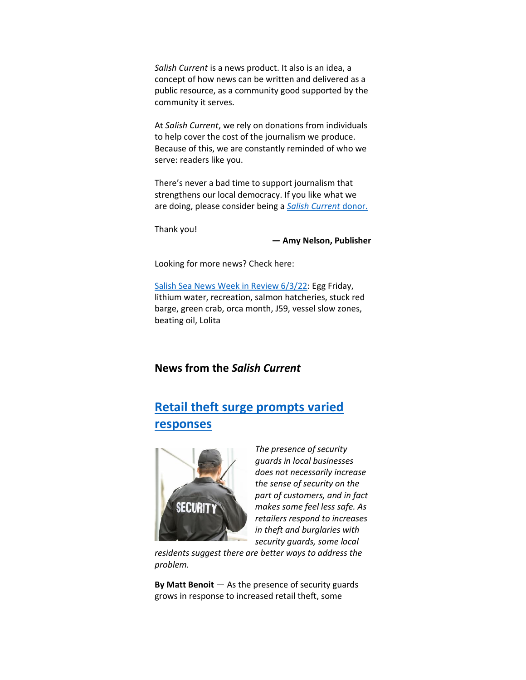*Salish Current* is a news product. It also is an idea, a concept of how news can be written and delivered as a public resource, as a community good supported by the community it serves.

At *Salish Current*, we rely on donations from individuals to help cover the cost of the journalism we produce. Because of this, we are constantly reminded of who we serve: readers like you.

There's never a bad time to support journalism that strengthens our local democracy. If you like what we are doing, please consider being a *[Salish Current](https://salish-current.org/donate)* donor.

Thank you!

**— Amy Nelson, Publisher**

Looking for more news? Check here:

[Salish Sea News Week in Review 6/3/22:](https://bit.ly/3zcDkF7) Egg Friday, lithium water, recreation, salmon hatcheries, stuck red barge, green crab, orca month, J59, vessel slow zones, beating oil, Lolita

## **News from the** *Salish Current*

# **[Retail theft surge prompts varied](https://salish-current.org/2022/06/03/retail-theft-surge-prompts-varied-responses/)  [responses](https://salish-current.org/2022/06/03/retail-theft-surge-prompts-varied-responses/)**



*The presence of security guards in local businesses does not necessarily increase the sense of security on the part of customers, and in fact makes some feel less safe. As retailers respond to increases in theft and burglaries with security guards, some local* 

*residents suggest there are better ways to address the problem.*

**By Matt Benoit** — As the presence of security guards grows in response to increased retail theft, some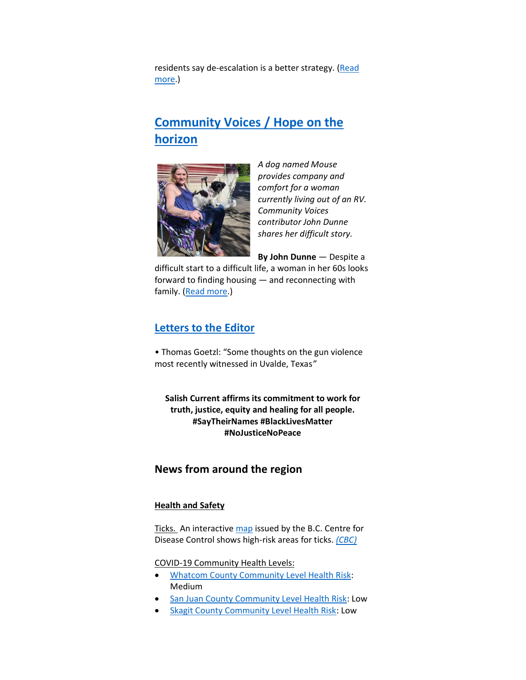residents say de-escalation is a better strategy. (Read [more.](https://salish-current.org/2022/06/03/retail-theft-surge-prompts-varied-responses/))

## **[Community Voices / Hope on the](https://salish-current.org/2022/06/02/hope-on-the-horizon/)  [horizon](https://salish-current.org/2022/06/02/hope-on-the-horizon/)**



*A dog named Mouse provides company and comfort for a woman currently living out of an RV. Community Voices contributor John Dunne shares her difficult story.*

**By John Dunne** — Despite a

difficult start to a difficult life, a woman in her 60s looks forward to finding housing — and reconnecting with family. [\(Read more.](https://salish-current.org/2022/06/02/hope-on-the-horizon/))

## **[Letters to the Editor](https://salish-current.org/letters-to-the-editor/)**

• Thomas Goetzl: "Some thoughts on the gun violence most recently witnessed in Uvalde, Texas*"*

**Salish Current affirms its commitment to work for truth, justice, equity and healing for all people. #SayTheirNames #BlackLivesMatter #NoJusticeNoPeace**

### **News from around the region**

#### **Health and Safety**

Ticks. An interactiv[e map](https://maps.bccdc.ca/Lyme/) issued by the B.C. Centre for Disease Control shows high-risk areas for ticks. *[\(CBC\)](https://www.cbc.ca/news/canada/british-columbia/bccdc-lyme-disease-map-1.6468200)*

COVID-19 Community Health Levels:

- [Whatcom County Community Level Health Risk:](https://covidactnow.org/us/washington-wa/county/whatcom_county/?s=32682088) Medium
- [San Juan County Community Level Health Risk:](https://covidactnow.org/us/washington-wa/county/san_juan_county/?s=32682088) Low
- [Skagit County Community Level Health Risk:](https://covidactnow.org/us/washington-wa/county/skagit_county/?s=32682088) Low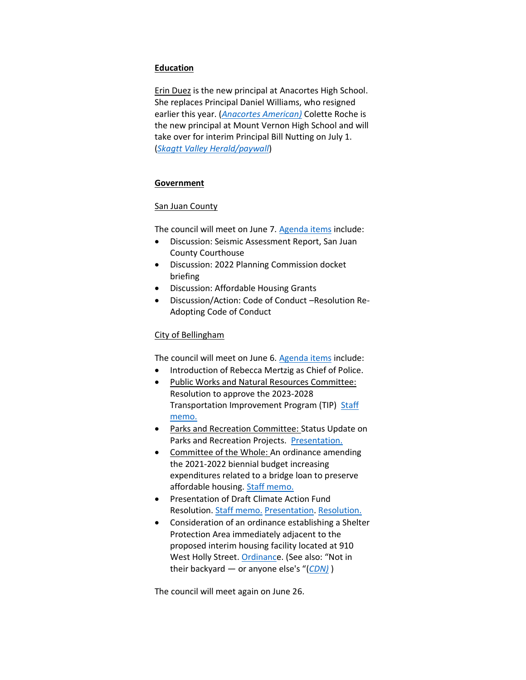#### **Education**

Erin Duez is the new principal at Anacortes High School. She replaces Principal Daniel Williams, who resigned earlier this year. (*[Anacortes American\)](https://www.goskagit.com/anacortes/news/school-district-names-erin-duez-new-principal-at-anacortes-high-school/article_071daaa8-dd2b-11ec-9634-fbc6378f8094.html)* Colette Roche is the new principal at Mount Vernon High School and will take over for interim Principal Bill Nutting on July 1. (*[Skagtt Valley Herald/paywall](https://www.goskagit.com/news/education/new-principal-hired-for-mount-vernon-high-school/article_6a504332-3977-5bce-afc2-4973a69a9d7b.html)*)

#### **Government**

#### **San Juan County**

The council will meet on June 7. [Agenda items](https://media.avcaptureall.cloud/meeting/c076ed09-48b3-4c1b-88cf-250b913a21f9) include:

- Discussion: Seismic Assessment Report, San Juan County Courthouse
- Discussion: 2022 Planning Commission docket briefing
- Discussion: Affordable Housing Grants
- Discussion/Action: Code of Conduct –Resolution Re-Adopting Code of Conduct

#### City of Bellingham

The council will meet on June 6. [Agenda items](https://meetings.cob.org/Meetings/ViewMeeting?id=2698&doctype=1) include:

- Introduction of Rebecca Mertzig as Chief of Police.
- Public Works and Natural Resources Committee: Resolution to approve the 2023-2028 Transportation Improvement Program (TIP) Staff [memo.](https://meetings.cob.org/Documents/ViewDocument/Staff%20Memo%20for%20AB%2023367.pdf?meetingId=2698&documentType=Agenda&itemId=24609&publishId=26003&isSection=false)
- Parks and Recreation Committee: Status Update on Parks and Recreation Projects. [Presentation.](https://meetings.cob.org/Documents/ViewDocument/Attachment%20-%20PRESENTATION%20-%20AB_%2023369.pdf?meetingId=2698&documentType=Agenda&itemId=24603&publishId=26013&isSection=false)
- Committee of the Whole: An ordinance amending the 2021-2022 biennial budget increasing expenditures related to a bridge loan to preserve affordable housing. [Staff memo.](https://meetings.cob.org/Documents/ViewDocument/Staff%20Memo%20for%20AB%2023370.pdf?meetingId=2698&documentType=Agenda&itemId=24604&publishId=26015&isSection=false)
- Presentation of Draft Climate Action Fund Resolution. [Staff memo.](https://meetings.cob.org/Documents/ViewDocument/Attachment%20-%20STAFF%20REPORT%20-%20AB_%2023373.pdf?meetingId=2698&documentType=Agenda&itemId=24606&publishId=26024&isSection=false) [Presentation.](https://meetings.cob.org/Documents/ViewDocument/Attachment%20-%20CAF_PRESENTATION%20-%20AB_%2023373.pdf?meetingId=2698&documentType=Agenda&itemId=24606&publishId=26026&isSection=false) [Resolution.](https://meetings.cob.org/Documents/ViewDocument/Attachment%20-%20CAF_DRAFT%20RESOLUTION%20-%20AB_%2023373.pdf?meetingId=2698&documentType=Agenda&itemId=24606&publishId=26025&isSection=false)
- Consideration of an ordinance establishing a Shelter Protection Area immediately adjacent to the proposed interim housing facility located at 910 West Holly Street. [Ordinanc](https://meetings.cob.org/Documents/ViewDocument/Attachment%20-%20ORDINANCE%20-%20AB_%2023371.pdf?meetingId=2698&documentType=Agenda&itemId=24607&publishId=26028&isSection=false)e. (See also: "Not in their backyard — or anyone else's "(*[CDN\)](https://www.cascadiadaily.com/news/2022/jun/02/not-in-their-backyard-or-anyone-elses)* )

The council will meet again on June 26.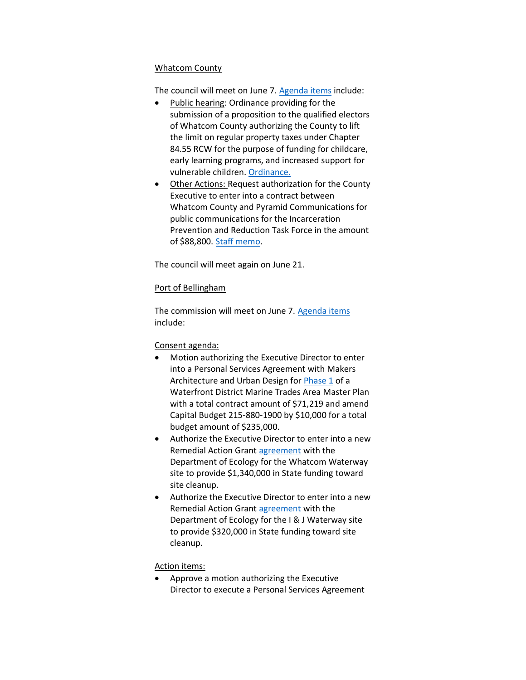#### Whatcom County

The council will meet on June 7. [Agenda items](https://whatcom.legistar.com/View.ashx?M=A&ID=899909&GUID=872C0FF3-E9BE-428C-B922-ED75321BDDFD) include:

- Public hearing: Ordinance providing for the submission of a proposition to the qualified electors of Whatcom County authorizing the County to lift the limit on regular property taxes under Chapter 84.55 RCW for the purpose of funding for childcare, early learning programs, and increased support for vulnerable children. [Ordinance.](https://whatcom.legistar.com/View.ashx?M=F&ID=10918708&GUID=58AD7E23-683F-4145-8535-D7D14FDD0F5B)
- Other Actions: Request authorization for the County Executive to enter into a contract between Whatcom County and Pyramid Communications for public communications for the Incarceration Prevention and Reduction Task Force in the amount of \$88,800. [Staff memo.](https://whatcom.legistar.com/View.ashx?M=F&ID=10926984&GUID=4E727B8F-3E07-4650-A5D4-10BAEE99689A)

The council will meet again on June 21.

#### Port of Bellingham

The commission will meet on June 7. [Agenda items](https://www.portofbellingham.com/AgendaCenter/ViewFile/Agenda/_06072022-516) include:

#### Consent agenda:

- Motion authorizing the Executive Director to enter into a Personal Services Agreement with Makers Architecture and Urban Design fo[r Phase 1](https://www.portofbellingham.com/DocumentCenter/View/11606/B) of a Waterfront District Marine Trades Area Master Plan with a total contract amount of \$71,219 and amend Capital Budget 215-880-1900 by \$10,000 for a total budget amount of \$235,000.
- Authorize the Executive Director to enter into a new Remedial Action Grant [agreement](https://www.portofbellingham.com/DocumentCenter/View/11593/C) with the Department of Ecology for the Whatcom Waterway site to provide \$1,340,000 in State funding toward site cleanup.
- Authorize the Executive Director to enter into a new Remedial Action Grant [agreement](https://www.portofbellingham.com/DocumentCenter/View/11594/D) with the Department of Ecology for the I & J Waterway site to provide \$320,000 in State funding toward site cleanup.

#### Action items:

• Approve a motion authorizing the Executive Director to execute a Personal Services Agreement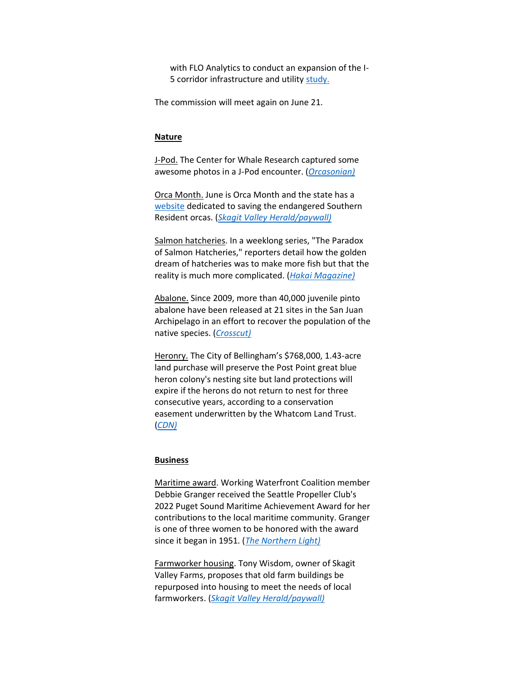with FLO Analytics to conduct an expansion of the I5 corridor infrastructure and utility [study.](https://www.portofbellingham.com/DocumentCenter/View/11598/1)

The commission will meet again on June 21.

#### **Nature**

J-Pod. The Center for Whale Research captured some awesome photos in a J-Pod encounter. (*[Orcasonian\)](https://theorcasonian.com/cwr-captured-some-awesome-images-in-latest-jpod-encounter/)*

Orca Month. June is Orca Month and the state has a [website](https://www.orca.wa.gov/) dedicated to saving the endangered Southern Resident orcas. (*[Skagit Valley Herald/paywall\)](https://www.goskagit.com/townnews/marine_biology/washington-launches-website-dedicated-to-orcas-of-the-salish-sea/article_2faf8960-e135-11ec-af83-6b7239a76157.html)*

Salmon hatcheries. In a weeklong series, "The Paradox of Salmon Hatcheries," reporters detail how the golden dream of hatcheries was to make more fish but that the reality is much more complicated. (*[Hakai Magazine\)](https://hakaimagazine.com/features/the-paradox-of-salmon-hatcheries/)*

Abalone. Since 2009, more than 40,000 juvenile pinto abalone have been released at 21 sites in the San Juan Archipelago in an effort to recover the population of the native species. (*[Crosscut\)](https://crosscut.com/environment/2022/05/photo-essay-quest-help-tiny-abalone-survive)*

Heronry. The City of Bellingham's \$768,000, 1.43-acre land purchase will preserve the Post Point great blue heron colony's nesting site but land protections will expire if the herons do not return to nest for three consecutive years, according to a conservation easement underwritten by the Whatcom Land Trust. (*[CDN\)](https://www.cascadiadaily.com/news/2022/may/31/blue-heron-colony-land-buffer-conservation-easement-not-in-perpetuity/)*

#### **Business**

Maritime award. Working Waterfront Coalition member Debbie Granger received the Seattle Propeller Club's 2022 Puget Sound Maritime Achievement Award for her contributions to the local maritime community. Granger is one of three women to be honored with the award since it began in 1951. (*[The Northern Light\)](https://www.thenorthernlight.com/stories/debbie-granger-awarded-2022-puget-sound-maritime-achievement-award,20150)*

Farmworker housing. Tony Wisdom, owner of Skagit Valley Farms, proposes that old farm buildings be repurposed into housing to meet the needs of local farmworkers. (*[Skagit Valley Herald/paywall\)](https://www.goskagit.com/growskagit/skagit-county-farmer-pitches-way-to-increase-farmworker-housing/article_fc7518bf-ccdd-56d2-a2b3-d49f5a084890.html)*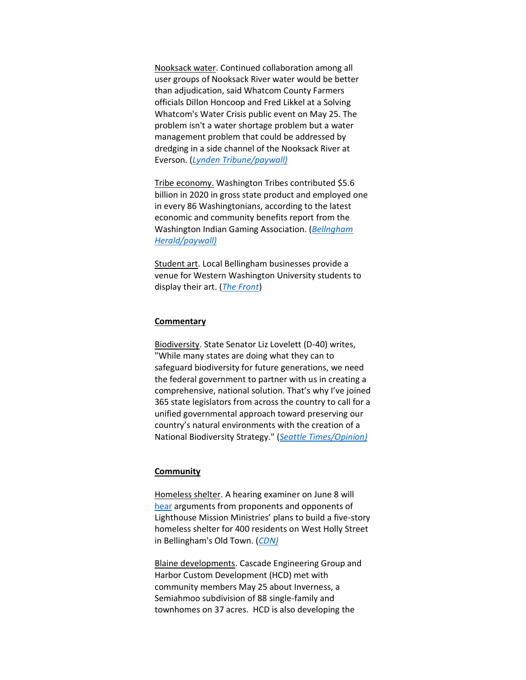Nooksack water. Continued collaboration among all user groups of Nooksack River water would be better than adjudication, said Whatcom County Farmers officials Dillon Honcoop and Fred Likkel at a Solving Whatcom's Water Crisis public event on May 25. The problem isn't a water shortage problem but a water management problem that could be addressed by dredging in a side channel of the Nooksack River at Everson. (*[Lynden Tribune/paywall\)](https://www.lyndentribune.com/news/whatcom-s-water-problems-are-solvable/article_e845fec2-ddd0-11ec-a8ba-2300c9050cbe.html)*

Tribe economy. Washington Tribes contributed \$5.6 billion in 2020 in gross state product and employed one in every 86 Washingtonians, according to the latest economic and community benefits report from the Washington Indian Gaming Association. (*[Bellngham](https://www.bellinghamherald.com/news/state/washington/article261793687.html)  [Herald/paywall\)](https://www.bellinghamherald.com/news/state/washington/article261793687.html)*

Student art. Local Bellingham businesses provide a venue for Western Washington University students to display their art. (*[The Front](https://www.westernfrontonline.com/article/2022/06/wwu-artists-and-shops)*)

#### **Commentary**

Biodiversity. State Senator Liz Lovelett (D-40) writes, "While many states are doing what they can to safeguard biodiversity for future generations, we need the federal government to partner with us in creating a comprehensive, national solution. That's why I've joined 365 state legislators from across the country to call for a unified governmental approach toward preserving our country's natural environments with the creation of a National Biodiversity Strategy." (*[Seattle Times/Opinion\)](https://www.seattletimes.com/opinion/u-s-needs-a-national-biodiversity-strategy-to-protect-plants-animals/)*

#### **Community**

Homeless shelter. A hearing examiner on June 8 will [hear](https://iframe.cob.org/gov/dept/hearing/Lists/materials/Attachments/376/AGENDA%206-8-22%20(virtual).pdf) arguments from proponents and opponents of Lighthouse Mission Ministries' plans to build a five-story homeless shelter for 400 residents on West Holly Street in Bellingham's Old Town. (*[CDN\)](https://www.cascadiadaily.com/news/2022/jun/02/not-in-their-backyard-or-anyone-elses/)*

Blaine developments. Cascade Engineering Group and Harbor Custom Development (HCD) met with community members May 25 about Inverness, a Semiahmoo subdivision of 88 single-family and townhomes on 37 acres. HCD is also developing the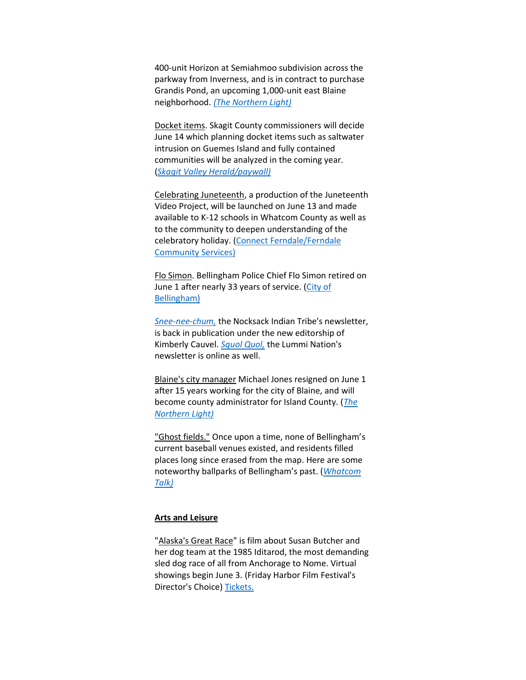400-unit Horizon at Semiahmoo subdivision across the parkway from Inverness, and is in contract to purchase Grandis Pond, an upcoming 1,000-unit east Blaine neighborhood. *[\(The Northern Light\)](https://www.thenorthernlight.com/stories/inverness-developers-host-community-meeting,20160?)*

Docket items. Skagit County commissioners will decide June 14 which planning docket items such as saltwater intrusion on Guemes Island and fully contained communities will be analyzed in the coming year. (*[Skagit Valley Herald/paywall\)](https://www.goskagit.com/news/local_news/skagit-county-board-of-commissioners-hears-from-comp-plan-petitioners/article_e1f1608f-0579-57d0-a2be-e54a30f3fa93.html)*

Celebrating Juneteenth, a production of the Juneteenth Video Project, will be launched on June 13 and made available to K-12 schools in Whatcom County as well as to the community to deepen understanding of the celebratory holiday. [\(Connect Ferndale/Ferndale](https://www.whatcomtalk.com/2022/05/20/connect-ferndale-launches-juneteenth-video-project/)  [Community Services\)](https://www.whatcomtalk.com/2022/05/20/connect-ferndale-launches-juneteenth-video-project/)

Flo Simon. Bellingham Police Chief Flo Simon retired on June 1 after nearly 33 years of service. [\(City of](https://cob.org/news/2022/chief-flo-simon-to-retire-after-more-than-32-years-of-law-enforcement-service)  [Bellingham\)](https://cob.org/news/2022/chief-flo-simon-to-retire-after-more-than-32-years-of-law-enforcement-service)

*[Snee-nee-chum,](https://nooksacktribe.org/newsletters/)* the Nocksack Indian Tribe's newsletter, is back in publication under the new editorship of Kimberly Cauvel. *[Squol Quol,](https://www.squolquol.com/)* the Lummi Nation's newsletter is online as well.

Blaine's city manager Michael Jones resigned on June 1 after 15 years working for the city of Blaine, and will become county administrator for Island County. (*[The](https://www.thenorthernlight.com/stories/blaine-city-manager-michael-jones-resigns,20165?)  [Northern Light\)](https://www.thenorthernlight.com/stories/blaine-city-manager-michael-jones-resigns,20165?)*

"Ghost fields." Once upon a time, none of Bellingham's current baseball venues existed, and residents filled places long since erased from the map. Here are some noteworthy ballparks of Bellingham's past. (*[Whatcom](https://www.whatcomtalk.com/2022/04/28/a-look-back-at-the-ghost-fields-of-bellingham-baseball/)  [Talk\)](https://www.whatcomtalk.com/2022/04/28/a-look-back-at-the-ghost-fields-of-bellingham-baseball/)*

#### **Arts and Leisure**

"Alaska's Great Race" is film about Susan Butcher and her dog team at the 1985 Iditarod, the most demanding sled dog race of all from Anchorage to Nome. Virtual showings begin June 3. (Friday Harbor Film Festival's Director's Choice[\) Tickets.](https://watch.eventive.org/fhff-director-series/play/62620054246773004c476887)